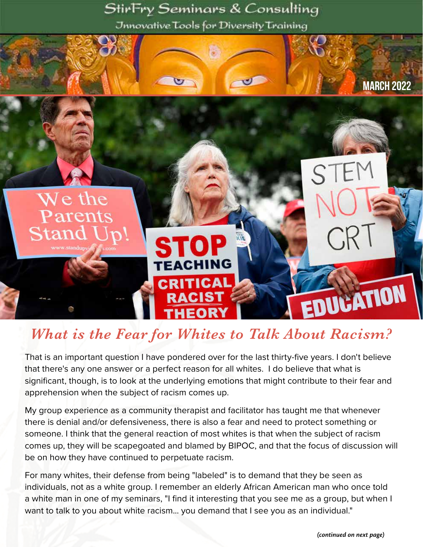

### *What is the Fear for Whites to Talk About Racism?*

That is an important question I have pondered over for the last thirty-five years. I don't believe that there's any one answer or a perfect reason for all whites. I do believe that what is significant, though, is to look at the underlying emotions that might contribute to their fear and apprehension when the subject of racism comes up.

My group experience as a community therapist and facilitator has taught me that whenever there is denial and/or defensiveness, there is also a fear and need to protect something or someone. I think that the general reaction of most whites is that when the subject of racism comes up, they will be scapegoated and blamed by BIPOC, and that the focus of discussion will be on how they have continued to perpetuate racism.

For many whites, their defense from being "labeled" is to demand that they be seen as individuals, not as a white group. I remember an elderly African American man who once told a white man in one of my seminars, "I find it interesting that you see me as a group, but when I want to talk to you about white racism... you demand that I see you as an individual."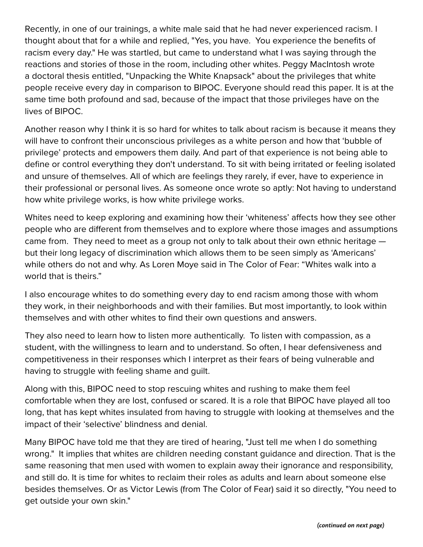Recently, in one of our trainings, a white male said that he had never experienced racism. I thought about that for a while and replied, "Yes, you have. You experience the benefits of racism every day." He was startled, but came to understand what I was saying through the reactions and stories of those in the room, including other whites. Peggy MacIntosh wrote a doctoral thesis entitled, "Unpacking the White Knapsack" about the privileges that white people receive every day in comparison to BIPOC. Everyone should read this paper. It is at the same time both profound and sad, because of the impact that those privileges have on the lives of BIPOC.

Another reason why I think it is so hard for whites to talk about racism is because it means they will have to confront their unconscious privileges as a white person and how that 'bubble of privilege' protects and empowers them daily. And part of that experience is not being able to define or control everything they don't understand. To sit with being irritated or feeling isolated and unsure of themselves. All of which are feelings they rarely, if ever, have to experience in their professional or personal lives. As someone once wrote so aptly: Not having to understand how white privilege works, is how white privilege works.

Whites need to keep exploring and examining how their 'whiteness' affects how they see other people who are different from themselves and to explore where those images and assumptions came from. They need to meet as a group not only to talk about their own ethnic heritage but their long legacy of discrimination which allows them to be seen simply as 'Americans' while others do not and why. As Loren Moye said in The Color of Fear: "Whites walk into a world that is theirs."

I also encourage whites to do something every day to end racism among those with whom they work, in their neighborhoods and with their families. But most importantly, to look within themselves and with other whites to find their own questions and answers.

They also need to learn how to listen more authentically. To listen with compassion, as a student, with the willingness to learn and to understand. So often, I hear defensiveness and competitiveness in their responses which I interpret as their fears of being vulnerable and having to struggle with feeling shame and guilt.

Along with this, BIPOC need to stop rescuing whites and rushing to make them feel comfortable when they are lost, confused or scared. It is a role that BIPOC have played all too long, that has kept whites insulated from having to struggle with looking at themselves and the impact of their 'selective' blindness and denial.

Many BIPOC have told me that they are tired of hearing, "Just tell me when I do something wrong." It implies that whites are children needing constant guidance and direction. That is the same reasoning that men used with women to explain away their ignorance and responsibility, and still do. It is time for whites to reclaim their roles as adults and learn about someone else besides themselves. Or as Victor Lewis (from The Color of Fear) said it so directly, "You need to get outside your own skin."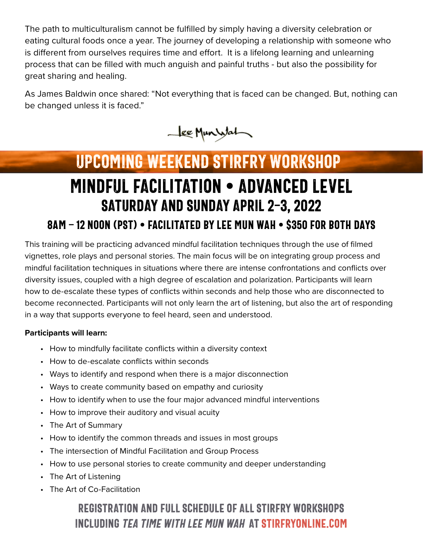The path to multiculturalism cannot be fulfilled by simply having a diversity celebration or eating cultural foods once a year. The journey of developing a relationship with someone who is different from ourselves requires time and effort. It is a lifelong learning and unlearning process that can be filled with much anguish and painful truths - but also the possibility for great sharing and healing.

As James Baldwin once shared: "Not everything that is faced can be changed. But, nothing can be changed unless it is faced."



## MINDFUL FACILITATION • ADVANCED LEVEL Saturday and Sunday April 2-3, 2022 8am – 12 noon (PST) • Facilitated by Lee Mun Wah • \$350 for both days Upcoming Weekend StirFry Workshop

This training will be practicing advanced mindful facilitation techniques through the use of filmed vignettes, role plays and personal stories. The main focus will be on integrating group process and mindful facilitation techniques in situations where there are intense confrontations and conflicts over diversity issues, coupled with a high degree of escalation and polarization. Participants will learn how to de-escalate these types of conflicts within seconds and help those who are disconnected to become reconnected. Participants will not only learn the art of listening, but also the art of responding in a way that supports everyone to feel heard, seen and understood.

#### **Participants will learn:**

- How to mindfully facilitate conflicts within a diversity context
- How to de-escalate conflicts within seconds
- Ways to identify and respond when there is a major disconnection
- Ways to create community based on empathy and curiosity
- How to identify when to use the four major advanced mindful interventions
- How to improve their auditory and visual acuity
- The Art of Summary
- How to identify the common threads and issues in most groups
- The intersection of Mindful Facilitation and Group Process
- How to use personal stories to create community and deeper understanding
- The Art of Listening
- The Art of Co-Facilitation

#### REGISTRATION AND full schedule of ALL StirFry Workshops including Tea Time with Lee Mun Wah at stirfryonline.com